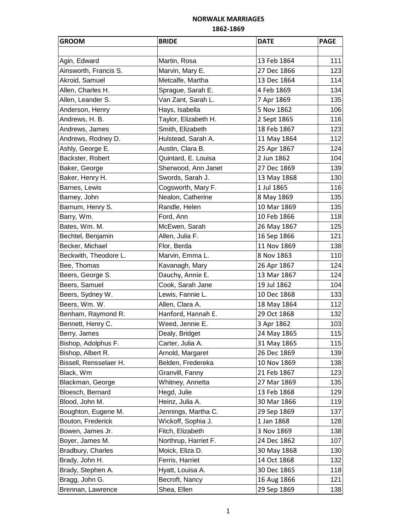| <b>GROOM</b>           | <b>BRIDE</b>         | <b>DATE</b> | <b>PAGE</b> |
|------------------------|----------------------|-------------|-------------|
|                        |                      |             |             |
| Agin, Edward           | Martin, Rosa         | 13 Feb 1864 | 111         |
| Ainsworth, Francis S.  | Marvin, Mary E.      | 27 Dec 1866 | 123         |
| Akroid, Samuel         | Metcalfe, Martha     | 13 Dec 1864 | 114         |
| Allen, Charles H.      | Sprague, Sarah E.    | 4 Feb 1869  | 134         |
| Allen, Leander S.      | Van Zant, Sarah L.   | 7 Apr 1869  | 135         |
| Anderson, Henry        | Hays, Isabella       | 5 Nov 1862  | 106         |
| Andrews, H. B.         | Taylor, Elizabeth H. | 2 Sept 1865 | 116         |
| Andrews, James         | Smith, Elizabeth     | 18 Feb 1867 | 123         |
| Andrews, Rodney D.     | Hulstead, Sarah A.   | 11 May 1864 | 112         |
| Ashly, George E.       | Austin, Clara B.     | 25 Apr 1867 | 124         |
| Backster, Robert       | Quintard, E. Louisa  | 2 Jun 1862  | 104         |
| Baker, George          | Sherwood, Ann Janet  | 27 Dec 1869 | 139         |
| Baker, Henry H.        | Swords, Sarah J.     | 13 May 1868 | 130         |
| Barnes, Lewis          | Cogsworth, Mary F.   | 1 Jul 1865  | 116         |
| Barney, John           | Nealon, Catherine    | 8 May 1869  | 135         |
| Barnum, Henry S.       | Randle, Helen        | 10 Mar 1869 | 135         |
| Barry, Wm.             | Ford, Ann            | 10 Feb 1866 | 118         |
| Bates, Wm. M.          | McEwen, Sarah        | 26 May 1867 | 125         |
| Bechtel, Benjamin      | Allen, Julia F.      | 16 Sep 1866 | 121         |
| Becker, Michael        | Flor, Berda          | 11 Nov 1869 | 138         |
| Beckwith, Theodore L.  | Marvin, Emma L.      | 8 Nov 1863  | 110         |
| Bee, Thomas            | Kavanagh, Mary       | 26 Apr 1867 | 124         |
| Beers, George S.       | Dauchy, Annie E.     | 13 Mar 1867 | 124         |
| Beers, Samuel          | Cook, Sarah Jane     | 19 Jul 1862 | 104         |
| Beers, Sydney W.       | Lewis, Fannie L.     | 10 Dec 1868 | 133         |
| Beers, Wm. W.          | Allen, Clara A.      | 18 May 1864 | 112         |
| Benham, Raymond R.     | Hanford, Hannah E.   | 29 Oct 1868 | 132         |
| Bennett, Henry C.      | Weed, Jennie E.      | 3 Apr 1862  | 103         |
| Berry, James           | Dealy, Bridget       | 24 May 1865 | 115         |
| Bishop, Adolphus F.    | Carter, Julia A.     | 31 May 1865 | 115         |
| Bishop, Albert R.      | Arnold, Margaret     | 26 Dec 1869 | 139         |
| Bissell, Rensselaer H. | Belden, Fredereka    | 10 Nov 1869 | 138         |
| Black, Wm              | Granvill, Fanny      | 21 Feb 1867 | 123         |
| Blackman, George       | Whitney, Annetta     | 27 Mar 1869 | 135         |
| Bloesch, Bernard       | Hegd, Julie          | 13 Feb 1868 | 129         |
| Blood, John M.         | Heinz, Julia A.      | 30 Mar 1866 | 119         |
| Boughton, Eugene M.    | Jennings, Martha C.  | 29 Sep 1869 | 137         |
| Bouton, Frederick      | Wickoff, Sophia J.   | 1 Jan 1868  | 128         |
| Bowen, James Jr.       | Fitch, Elizabeth     | 3 Nov 1869  | 138         |
| Boyer, James M.        | Northrup, Harriet F. | 24 Dec 1862 | 107         |
| Bradbury, Charles      | Moick, Eliza D.      | 30 May 1868 | 130         |
| Brady, John H.         | Ferris, Harriet      | 14 Oct 1868 | 132         |
| Brady, Stephen A.      | Hyatt, Louisa A.     | 30 Dec 1865 | 118         |
| Bragg, John G.         | Becroft, Nancy       | 16 Aug 1866 | 121         |
| Brennan, Lawrence      | Shea, Ellen          | 29 Sep 1869 | 138         |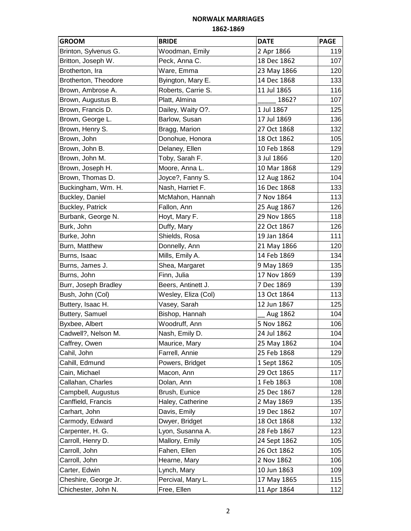| <b>GROOM</b>            | <b>BRIDE</b>        | <b>DATE</b>  | <b>PAGE</b> |
|-------------------------|---------------------|--------------|-------------|
| Brinton, Sylvenus G.    | Woodman, Emily      | 2 Apr 1866   | 119         |
| Britton, Joseph W.      | Peck, Anna C.       | 18 Dec 1862  | 107         |
| Brotherton, Ira         | Ware, Emma          | 23 May 1866  | 120         |
| Brotherton, Theodore    | Byington, Mary E.   | 14 Dec 1868  | 133         |
| Brown, Ambrose A.       | Roberts, Carrie S.  | 11 Jul 1865  | 116         |
| Brown, Augustus B.      | Platt, Almina       | 1862?        | 107         |
| Brown, Francis D.       | Dailey, Waity O?.   | 1 Jul 1867   | 125         |
| Brown, George L.        | Barlow, Susan       | 17 Jul 1869  | 136         |
| Brown, Henry S.         | Bragg, Marion       | 27 Oct 1868  | 132         |
| Brown, John             | Donohue, Honora     | 18 Oct 1862  | 105         |
| Brown, John B.          | Delaney, Ellen      | 10 Feb 1868  | 129         |
| Brown, John M.          | Toby, Sarah F.      | 3 Jul 1866   | 120         |
| Brown, Joseph H.        | Moore, Anna L.      | 10 Mar 1868  | 129         |
| Brown, Thomas D.        | Joyce?, Fanny S.    | 12 Aug 1862  | 104         |
| Buckingham, Wm. H.      | Nash, Harriet F.    | 16 Dec 1868  | 133         |
| Buckley, Daniel         | McMahon, Hannah     | 7 Nov 1864   | 113         |
| <b>Buckley, Patrick</b> | Fallon, Ann         | 25 Aug 1867  | 126         |
| Burbank, George N.      | Hoyt, Mary F.       | 29 Nov 1865  | 118         |
| Burk, John              | Duffy, Mary         | 22 Oct 1867  | 126         |
| Burke, John             | Shields, Rosa       | 19 Jan 1864  | 111         |
| Burn, Matthew           | Donnelly, Ann       | 21 May 1866  | 120         |
| Burns, Isaac            | Mills, Emily A.     | 14 Feb 1869  | 134         |
| Burns, James J.         | Shea, Margaret      | 9 May 1869   | 135         |
| Burns, John             | Finn, Julia         | 17 Nov 1869  | 139         |
| Burr, Joseph Bradley    | Beers, Antinett J.  | 7 Dec 1869   | 139         |
| Bush, John (Col)        | Wesley, Eliza (Col) | 13 Oct 1864  | 113         |
| Buttery, Isaac H.       | Vasey, Sarah        | 12 Jun 1867  | 125         |
| Buttery, Samuel         | Bishop, Hannah      | Aug 1862     | 104         |
| Byxbee, Albert          | Woodruff, Ann       | 5 Nov 1862   | 106         |
| Cadwell?, Nelson M.     | Nash, Emily D.      | 24 Jul 1862  | 104         |
| Caffrey, Owen           | Maurice, Mary       | 25 May 1862  | 104         |
| Cahil, John             | Farrell, Annie      | 25 Feb 1868  | 129         |
| Cahill, Edmund          | Powers, Bridget     | 1 Sept 1862  | 105         |
| Cain, Michael           | Macon, Ann          | 29 Oct 1865  | 117         |
| Callahan, Charles       | Dolan, Ann          | 1 Feb 1863   | 108         |
| Campbell, Augustus      | Brush, Eunice       | 25 Dec 1867  | 128         |
| Canffield, Francis      | Haley, Catherine    | 2 May 1869   | 135         |
| Carhart, John           | Davis, Emily        | 19 Dec 1862  | 107         |
| Carmody, Edward         | Dwyer, Bridget      | 18 Oct 1868  | 132         |
| Carpenter, H. G.        | Lyon, Susanna A.    | 28 Feb 1867  | 123         |
| Carroll, Henry D.       | Mallory, Emily      | 24 Sept 1862 | 105         |
| Carroll, John           | Fahen, Ellen        | 26 Oct 1862  | 105         |
| Carroll, John           | Hearne, Mary        | 2 Nov 1862   | 106         |
| Carter, Edwin           | Lynch, Mary         | 10 Jun 1863  | 109         |
| Cheshire, George Jr.    | Percival, Mary L.   | 17 May 1865  | 115         |
| Chichester, John N.     | Free, Ellen         | 11 Apr 1864  | 112         |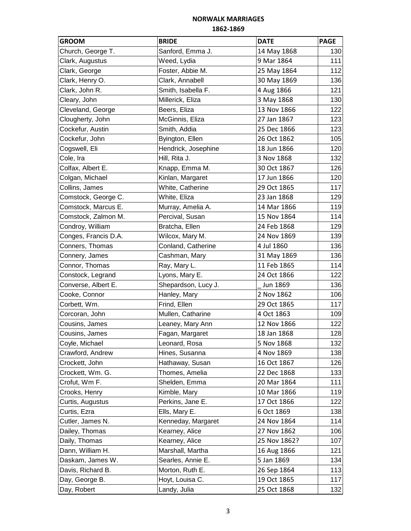| <b>GROOM</b>         | <b>BRIDE</b>        | <b>DATE</b>  | <b>PAGE</b> |
|----------------------|---------------------|--------------|-------------|
| Church, George T.    | Sanford, Emma J.    | 14 May 1868  | 130         |
| Clark, Augustus      | Weed, Lydia         | 9 Mar 1864   | 111         |
| Clark, George        | Foster, Abbie M.    | 25 May 1864  | 112         |
| Clark, Henry O.      | Clark, Annabell     | 30 May 1869  | 136         |
| Clark, John R.       | Smith, Isabella F.  | 4 Aug 1866   | 121         |
| Cleary, John         | Millerick, Eliza    | 3 May 1868   | 130         |
| Cleveland, George    | Beers, Eliza        | 13 Nov 1866  | 122         |
| Clougherty, John     | McGinnis, Eliza     | 27 Jan 1867  | 123         |
| Cockefur, Austin     | Smith, Addia        | 25 Dec 1866  | 123         |
| Cockefur, John       | Byington, Ellen     | 26 Oct 1862  | 105         |
| Cogswell, Eli        | Hendrick, Josephine | 18 Jun 1866  | 120         |
| Cole, Ira            | Hill, Rita J.       | 3 Nov 1868   | 132         |
| Colfax, Albert E.    | Knapp, Emma M.      | 30 Oct 1867  | 126         |
| Colgan, Michael      | Kinlan, Margaret    | 17 Jun 1866  | 120         |
| Collins, James       | White, Catherine    | 29 Oct 1865  | 117         |
| Comstock, George C.  | White, Eliza        | 23 Jan 1868  | 129         |
| Comstock, Marcus E.  | Murray, Amelia A.   | 14 Mar 1866  | 119         |
| Comstock, Zalmon M.  | Percival, Susan     | 15 Nov 1864  | 114         |
| Condroy, William     | Bratcha, Ellen      | 24 Feb 1868  | 129         |
| Conges, Francis D.A. | Wilcox, Mary M.     | 24 Nov 1869  | 139         |
| Conners, Thomas      | Conland, Catherine  | 4 Jul 1860   | 136         |
| Connery, James       | Cashman, Mary       | 31 May 1869  | 136         |
| Connor, Thomas       | Ray, Mary L.        | 11 Feb 1865  | 114         |
| Constock, Legrand    | Lyons, Mary E.      | 24 Oct 1866  | 122         |
| Converse, Albert E.  | Shepardson, Lucy J. | Jun 1869     | 136         |
| Cooke, Connor        | Hanley, Mary        | 2 Nov 1862   | 106         |
| Corbett, Wm.         | Frind, Ellen        | 29 Oct 1865  | 117         |
| Corcoran, John       | Mullen, Catharine   | 4 Oct 1863   | 109         |
| Cousins, James       | Leaney, Mary Ann    | 12 Nov 1866  | 122         |
| Cousins, James       | Fagan, Margaret     | 18 Jan 1868  | 128         |
| Coyle, Michael       | Leonard, Rosa       | 5 Nov 1868   | 132         |
| Crawford, Andrew     | Hines, Susanna      | 4 Nov 1869   | 138         |
| Crockett, John       | Hathaway, Susan     | 16 Oct 1867  | 126         |
| Crockett, Wm. G.     | Thomes, Amelia      | 22 Dec 1868  | 133         |
| Crofut, Wm F.        | Shelden, Emma       | 20 Mar 1864  | 111         |
| Crooks, Henry        | Kimble, Mary        | 10 Mar 1866  | 119         |
| Curtis, Augustus     | Perkins, Jane E.    | 17 Oct 1866  | 122         |
| Curtis, Ezra         | Ells, Mary E.       | 6 Oct 1869   | 138         |
| Cutler, James N.     | Kenneday, Margaret  | 24 Nov 1864  | 114         |
| Dailey, Thomas       | Kearney, Alice      | 27 Nov 1862  | 106         |
| Daily, Thomas        | Kearney, Alice      | 25 Nov 1862? | 107         |
| Dann, William H.     | Marshall, Martha    | 16 Aug 1866  | 121         |
| Daskam, James W.     | Searles, Annie E.   | 5 Jan 1869   | 134         |
| Davis, Richard B.    | Morton, Ruth E.     | 26 Sep 1864  | 113         |
| Day, George B.       | Hoyt, Louisa C.     | 19 Oct 1865  | 117         |
| Day, Robert          | Landy, Julia        | 25 Oct 1868  | 132         |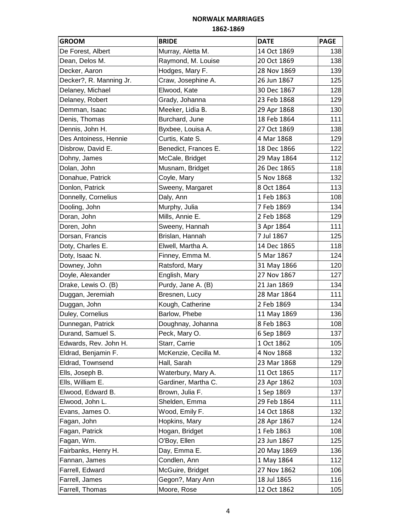| <b>GROOM</b>            | <b>BRIDE</b>         | <b>DATE</b> | <b>PAGE</b> |
|-------------------------|----------------------|-------------|-------------|
| De Forest, Albert       | Murray, Aletta M.    | 14 Oct 1869 | 138         |
| Dean, Delos M.          | Raymond, M. Louise   | 20 Oct 1869 | 138         |
| Decker, Aaron           | Hodges, Mary F.      | 28 Nov 1869 | 139         |
| Decker?, R. Manning Jr. | Craw, Josephine A.   | 26 Jun 1867 | 125         |
| Delaney, Michael        | Elwood, Kate         | 30 Dec 1867 | 128         |
| Delaney, Robert         | Grady, Johanna       | 23 Feb 1868 | 129         |
| Demman, Isaac           | Meeker, Lidia B.     | 29 Apr 1868 | 130         |
| Denis, Thomas           | Burchard, June       | 18 Feb 1864 | 111         |
| Dennis, John H.         | Byxbee, Louisa A.    | 27 Oct 1869 | 138         |
| Des Antoiness, Hennie   | Curtis, Kate S.      | 4 Mar 1868  | 129         |
| Disbrow, David E.       | Benedict, Frances E. | 18 Dec 1866 | 122         |
| Dohny, James            | McCale, Bridget      | 29 May 1864 | 112         |
| Dolan, John             | Musnam, Bridget      | 26 Dec 1865 | 118         |
| Donahue, Patrick        | Coyle, Mary          | 5 Nov 1868  | 132         |
| Donlon, Patrick         | Sweeny, Margaret     | 8 Oct 1864  | 113         |
| Donnelly, Cornelius     | Daly, Ann            | 1 Feb 1863  | 108         |
| Dooling, John           | Murphy, Julia        | 7 Feb 1869  | 134         |
| Doran, John             | Mills, Annie E.      | 2 Feb 1868  | 129         |
| Doren, John             | Sweeny, Hannah       | 3 Apr 1864  | 111         |
| Dorsan, Francis         | Brislan, Hannah      | 7 Jul 1867  | 125         |
| Doty, Charles E.        | Elwell, Martha A.    | 14 Dec 1865 | 118         |
| Doty, Isaac N.          | Finney, Emma M.      | 5 Mar 1867  | 124         |
| Downey, John            | Ratsford, Mary       | 31 May 1866 | 120         |
| Doyle, Alexander        | English, Mary        | 27 Nov 1867 | 127         |
| Drake, Lewis O. (B)     | Purdy, Jane A. (B)   | 21 Jan 1869 | 134         |
| Duggan, Jeremiah        | Bresnen, Lucy        | 28 Mar 1864 | 111         |
| Duggan, John            | Kough, Catherine     | 2 Feb 1869  | 134         |
| Duley, Cornelius        | Barlow, Phebe        | 11 May 1869 | 136         |
| Dunnegan, Patrick       | Doughnay, Johanna    | 8 Feb 1863  | 108         |
| Durand, Samuel S.       | Peck, Mary O.        | 6 Sep 1869  | 137         |
| Edwards, Rev. John H.   | Starr, Carrie        | 1 Oct 1862  | 105         |
| Eldrad, Benjamin F.     | McKenzie, Cecilla M. | 4 Nov 1868  | 132         |
| Eldrad, Townsend        | Hall, Sarah          | 23 Mar 1868 | 129         |
| Ells, Joseph B.         | Waterbury, Mary A.   | 11 Oct 1865 | 117         |
| Ells, William E.        | Gardiner, Martha C.  | 23 Apr 1862 | 103         |
| Elwood, Edward B.       | Brown, Julia F.      | 1 Sep 1869  | 137         |
| Elwood, John L.         | Shelden, Emma        | 29 Feb 1864 | 111         |
| Evans, James O.         | Wood, Emily F.       | 14 Oct 1868 | 132         |
| Fagan, John             | Hopkins, Mary        | 28 Apr 1867 | 124         |
| Fagan, Patrick          | Hogan, Bridget       | 1 Feb 1863  | 108         |
| Fagan, Wm.              | O'Boy, Ellen         | 23 Jun 1867 | 125         |
| Fairbanks, Henry H.     | Day, Emma E.         | 20 May 1869 | 136         |
| Fannan, James           | Condlen, Ann         | 1 May 1864  | 112         |
| Farrell, Edward         | McGuire, Bridget     | 27 Nov 1862 | 106         |
| Farrell, James          | Gegon?, Mary Ann     | 18 Jul 1865 | 116         |
| Farrell, Thomas         | Moore, Rose          | 12 Oct 1862 | 105         |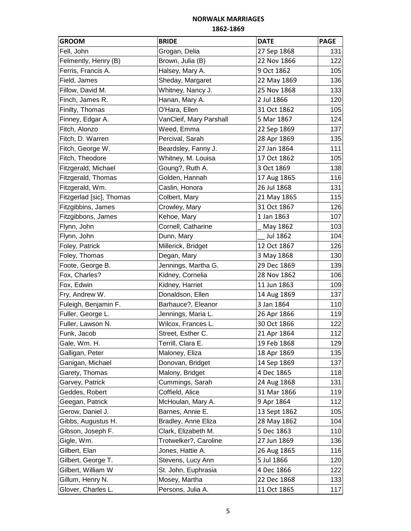| <b>GROOM</b>             | <b>BRIDE</b>            | <b>DATE</b>  | <b>PAGE</b> |
|--------------------------|-------------------------|--------------|-------------|
| Fell, John               | Grogan, Delia           | 27 Sep 1868  | 131         |
| Felmently, Henry (B)     | Brown, Julia (B)        | 22 Nov 1866  | 122         |
| Ferris, Francis A.       | Halsey, Mary A.         | 9 Oct 1862   | 105         |
| Field, James             | Sheday, Margaret        | 22 May 1869  | 136         |
| Fillow, David M.         | Whitney, Nancy J.       | 25 Nov 1868  | 133         |
| Finch, James R.          | Hanan, Mary A.          | 2 Jul 1866   | 120         |
| Finilty, Thomas          | O'Hara, Ellen           | 31 Oct 1862  | 105         |
| Finney, Edgar A.         | VanCleif, Mary Parshall | 5 Mar 1867   | 124         |
| Fitch, Alonzo            | Weed, Emma              | 22 Sep 1869  | 137         |
| Fitch, D. Warren         | Percival, Sarah         | 28 Apr 1869  | 135         |
| Fitch, George W.         | Beardsley, Fanny J.     | 27 Jan 1864  | 111         |
| Fitch, Theodore          | Whitney, M. Louisa      | 17 Oct 1862  | 105         |
| Fitzgerald, Michael      | Goung?, Ruth A.         | 3 Oct 1869   | 138         |
| Fitzgerald, Thomas       | Golden, Hannah          | 17 Aug 1865  | 116         |
| Fitzgerald, Wm.          | Caslin, Honora          | 26 Jul 1868  | 131         |
| Fitzgerlad [sic], Thomas | Colbert, Mary           | 21 May 1865  | 115         |
| Fitzgibbins, James       | Crowley, Mary           | 31 Oct 1867  | 126         |
| Fitzgibbons, James       | Kehoe, Mary             | 1 Jan 1863   | 107         |
| Flynn, John              | Cornell, Catharine      | May 1862     | 103         |
| Flynn, John              | Dunn, Mary              | Jul 1862     | 104         |
| Foley, Patrick           | Millerick, Bridget      | 12 Oct 1867  | 126         |
| Foley, Thomas            | Degan, Mary             | 3 May 1868   | 130         |
| Foote, George B.         | Jennings, Martha G.     | 29 Dec 1869  | 139         |
| Fox, Charles?            | Kidney, Cornelia        | 28 Nov 1862  | 106         |
| Fox, Edwin               | Kidney, Harriet         | 11 Jun 1863  | 109         |
| Fry, Andrew W.           | Donaldson, Ellen        | 14 Aug 1869  | 137         |
| Fuleigh, Benjamin F.     | Barhauce?, Eleanor      | 3 Jan 1864   | 110         |
| Fuller, George L.        | Jennings, Maria L.      | 26 Apr 1866  | 119         |
| Fuller, Lawson N.        | Wilcox, Frances L.      | 30 Oct 1866  | 122         |
| Funk, Jacob              | Street, Esther C.       | 21 Apr 1864  | 112         |
| Gale, Wm. H.             | Terrill, Clara E.       | 19 Feb 1868  | 129         |
| Galligan, Peter          | Maloney, Eliza          | 18 Apr 1869  | 135         |
| Ganigan, Michael         | Donovan, Bridget        | 14 Sep 1869  | 137         |
| Garety, Thomas           | Malony, Bridget         | 4 Dec 1865   | 118         |
| Garvey, Patrick          | Cummings, Sarah         | 24 Aug 1868  | 131         |
| Geddes, Robert           | Coffield, Alice         | 31 Mar 1866  | 119         |
| Geegan, Patrick          | McHoulan, Mary A.       | 9 Apr 1864   | 112         |
| Gerow, Daniel J.         | Barnes, Annie E.        | 13 Sept 1862 | 105         |
| Gibbs, Augustus H.       | Bradley, Anne Eliza     | 28 May 1862  | 104         |
| Gibson, Joseph F.        | Clark, Elizabeth M.     | 5 Dec 1863   | 110         |
| Gigle, Wm.               | Trotwelker?, Caroline   | 27 Jun 1869  | 136         |
| Gilbert, Elan            | Jones, Hattie A.        | 26 Aug 1865  | 116         |
| Gilbert, George T.       | Stevens, Lucy Ann       | 5 Jul 1866   | 120         |
| Gilbert, William W       | St. John, Euphrasia     | 4 Dec 1866   | 122         |
| Gillum, Henry N.         | Mosey, Martha           | 22 Dec 1868  | 133         |
| Glover, Charles L.       | Persons, Julia A.       | 11 Oct 1865  | 117         |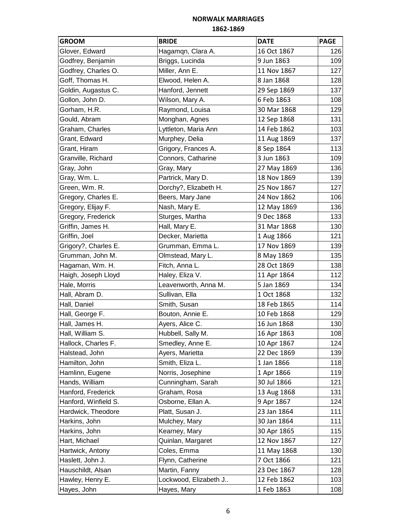| <b>GROOM</b>         | <b>BRIDE</b>          | <b>DATE</b> | <b>PAGE</b> |
|----------------------|-----------------------|-------------|-------------|
| Glover, Edward       | Hagamqn, Clara A.     | 16 Oct 1867 | 126         |
| Godfrey, Benjamin    | Briggs, Lucinda       | 9 Jun 1863  | 109         |
| Godfrey, Charles O.  | Miller, Ann E.        | 11 Nov 1867 | 127         |
| Goff, Thomas H.      | Elwood, Helen A.      | 8 Jan 1868  | 128         |
| Goldin, Augastus C.  | Hanford, Jennett      | 29 Sep 1869 | 137         |
| Gollon, John D.      | Wilson, Mary A.       | 6 Feb 1863  | 108         |
| Gorham, H.R.         | Raymond, Louisa       | 30 Mar 1868 | 129         |
| Gould, Abram         | Monghan, Agnes        | 12 Sep 1868 | 131         |
| Graham, Charles      | Lyttleton, Maria Ann  | 14 Feb 1862 | 103         |
| Grant, Edward        | Murphey, Delia        | 11 Aug 1869 | 137         |
| Grant, Hiram         | Grigory, Frances A.   | 8 Sep 1864  | 113         |
| Granville, Richard   | Connors, Catharine    | 3 Jun 1863  | 109         |
| Gray, John           | Gray, Mary            | 27 May 1869 | 136         |
| Gray, Wm. L.         | Partrick, Mary D.     | 18 Nov 1869 | 139         |
| Green, Wm. R.        | Dorchy?, Elizabeth H. | 25 Nov 1867 | 127         |
| Gregory, Charles E.  | Beers, Mary Jane      | 24 Nov 1862 | 106         |
| Gregory, Elijay F.   | Nash, Mary E.         | 12 May 1869 | 136         |
| Gregory, Frederick   | Sturges, Martha       | 9 Dec 1868  | 133         |
| Griffin, James H.    | Hall, Mary E.         | 31 Mar 1868 | 130         |
| Griffin, Joel        | Decker, Marietta      | 1 Aug 1866  | 121         |
| Grigory?, Charles E. | Grumman, Emma L.      | 17 Nov 1869 | 139         |
| Grumman, John M.     | Olmstead, Mary L.     | 8 May 1869  | 135         |
| Hagaman, Wm. H.      | Fitch, Anna L.        | 28 Oct 1869 | 138         |
| Haigh, Joseph Lloyd  | Haley, Eliza V.       | 11 Apr 1864 | 112         |
| Hale, Morris         | Leavenworth, Anna M.  | 5 Jan 1869  | 134         |
| Hall, Abram D.       | Sullivan, Ella        | 1 Oct 1868  | 132         |
| Hall, Daniel         | Smith, Susan          | 18 Feb 1865 | 114         |
| Hall, George F.      | Bouton, Annie E.      | 10 Feb 1868 | 129         |
| Hall, James H.       | Ayers, Alice C.       | 16 Jun 1868 | 130         |
| Hall, William S.     | Hubbell, Sally M.     | 16 Apr 1863 | 108         |
| Hallock, Charles F.  | Smedley, Anne E.      | 10 Apr 1867 | 124         |
| Halstead, John       | Ayers, Marietta       | 22 Dec 1869 | 139         |
| Hamilton, John       | Smith, Eliza L.       | 1 Jan 1866  | 118         |
| Hamlinn, Eugene      | Norris, Josephine     | 1 Apr 1866  | 119         |
| Hands, William       | Cunningham, Sarah     | 30 Jul 1866 | 121         |
| Hanford, Frederick   | Graham, Rosa          | 13 Aug 1868 | 131         |
| Hanford, Winfield S. | Osborne, Ellan A.     | 9 Apr 1867  | 124         |
| Hardwick, Theodore   | Platt, Susan J.       | 23 Jan 1864 | 111         |
| Harkins, John        | Mulchey, Mary         | 30 Jan 1864 | 111         |
| Harkins, John        | Kearney, Mary         | 30 Apr 1865 | 115         |
| Hart, Michael        | Quinlan, Margaret     | 12 Nov 1867 | 127         |
| Hartwick, Antony     | Coles, Emma           | 11 May 1868 | 130         |
| Haslett, John J.     | Flynn, Catherine      | 7 Oct 1866  | 121         |
| Hauschildt, Alsan    | Martin, Fanny         | 23 Dec 1867 | 128         |
| Hawley, Henry E.     | Lockwood, Elizabeth J | 12 Feb 1862 | 103         |
| Hayes, John          | Hayes, Mary           | 1 Feb 1863  | 108         |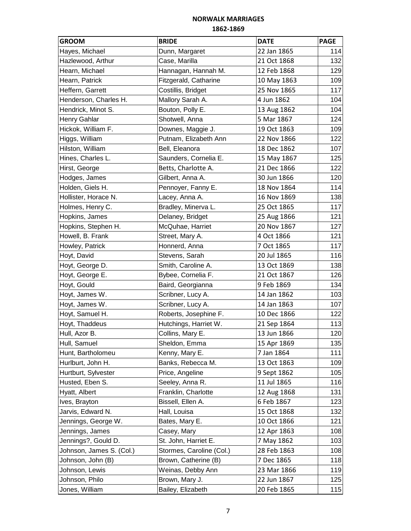| <b>GROOM</b>             | <b>BRIDE</b>             | <b>DATE</b> | <b>PAGE</b> |
|--------------------------|--------------------------|-------------|-------------|
| Hayes, Michael           | Dunn, Margaret           | 22 Jan 1865 | 114         |
| Hazlewood, Arthur        | Case, Marilla            | 21 Oct 1868 | 132         |
| Hearn, Michael           | Hannagan, Hannah M.      | 12 Feb 1868 | 129         |
| Hearn, Patrick           | Fitzgerald, Catharine    | 10 May 1863 | 109         |
| Heffern, Garrett         | Costillis, Bridget       | 25 Nov 1865 | 117         |
| Henderson, Charles H.    | Mallory Sarah A.         | 4 Jun 1862  | 104         |
| Hendrick, Minot S.       | Bouton, Polly E.         | 13 Aug 1862 | 104         |
| <b>Henry Gahlar</b>      | Shotwell, Anna           | 5 Mar 1867  | 124         |
| Hickok, William F.       | Downes, Maggie J.        | 19 Oct 1863 | 109         |
| Higgs, William           | Putnam, Elizabeth Ann    | 22 Nov 1866 | 122         |
| Hilston, William         | Bell, Eleanora           | 18 Dec 1862 | 107         |
| Hines, Charles L.        | Saunders, Cornelia E.    | 15 May 1867 | 125         |
| Hirst, George            | Betts, Charlotte A.      | 21 Dec 1866 | 122         |
| Hodges, James            | Gilbert, Anna A.         | 30 Jun 1866 | 120         |
| Holden, Giels H.         | Pennoyer, Fanny E.       | 18 Nov 1864 | 114         |
| Hollister, Horace N.     | Lacey, Anna A.           | 16 Nov 1869 | 138         |
| Holmes, Henry C.         | Bradley, Minerva L.      | 25 Oct 1865 | 117         |
| Hopkins, James           | Delaney, Bridget         | 25 Aug 1866 | 121         |
| Hopkins, Stephen H.      | McQuhae, Harriet         | 20 Nov 1867 | 127         |
| Howell, B. Frank         | Street, Mary A.          | 4 Oct 1866  | 121         |
| Howley, Patrick          | Honnerd, Anna            | 7 Oct 1865  | 117         |
| Hoyt, David              | Stevens, Sarah           | 20 Jul 1865 | 116         |
| Hoyt, George D.          | Smith, Caroline A.       | 13 Oct 1869 | 138         |
| Hoyt, George E.          | Bybee, Cornelia F.       | 21 Oct 1867 | 126         |
| Hoyt, Gould              | Baird, Georgianna        | 9 Feb 1869  | 134         |
| Hoyt, James W.           | Scribner, Lucy A.        | 14 Jan 1862 | 103         |
| Hoyt, James W.           | Scribner, Lucy A.        | 14 Jan 1863 | 107         |
| Hoyt, Samuel H.          | Roberts, Josephine F.    | 10 Dec 1866 | 122         |
| Hoyt, Thaddeus           | Hutchings, Harriet W.    | 21 Sep 1864 | 113         |
| Hull, Azor B.            | Collins, Mary E.         | 13 Jun 1866 | 120         |
| Hull, Samuel             | Sheldon, Emma            | 15 Apr 1869 | 135         |
| Hunt, Bartholomeu        | Kenny, Mary E.           | 7 Jan 1864  | 111         |
| Hurlburt, John H.        | Banks, Rebecca M.        | 13 Oct 1863 | 109         |
| Hurtburt, Sylvester      | Price, Angeline          | 9 Sept 1862 | 105         |
| Husted, Eben S.          | Seeley, Anna R.          | 11 Jul 1865 | 116         |
| Hyatt, Albert            | Franklin, Charlotte      | 12 Aug 1868 | 131         |
| Ives, Brayton            | Bissell, Ellen A.        | 6 Feb 1867  | 123         |
| Jarvis, Edward N.        | Hall, Louisa             | 15 Oct 1868 | 132         |
| Jennings, George W.      | Bates, Mary E.           | 10 Oct 1866 | 121         |
| Jennings, James          | Casey, Mary              | 12 Apr 1863 | 108         |
| Jennings?, Gould D.      | St. John, Harriet E.     | 7 May 1862  | 103         |
| Johnson, James S. (Col.) | Stormes, Caroline (Col.) | 28 Feb 1863 | 108         |
| Johnson, John (B)        | Brown, Catherine (B)     | 7 Dec 1865  | 118         |
| Johnson, Lewis           | Weinas, Debby Ann        | 23 Mar 1866 | 119         |
| Johnson, Philo           | Brown, Mary J.           | 22 Jun 1867 | 125         |
| Jones, William           | Bailey, Elizabeth        | 20 Feb 1865 | 115         |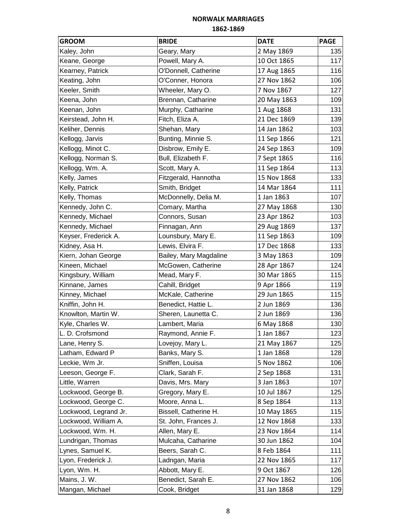# **NORWALK MARRIAGES**

#### **1862-1869**

| <b>GROOM</b>          | <b>BRIDE</b>           | <b>DATE</b> | <b>PAGE</b> |
|-----------------------|------------------------|-------------|-------------|
| Kaley, John           | Geary, Mary            | 2 May 1869  | 135         |
| Keane, George         | Powell, Mary A.        | 10 Oct 1865 | 117         |
| Kearney, Patrick      | O'Donnell, Catherine   | 17 Aug 1865 | 116         |
| Keating, John         | O'Conner, Honora       | 27 Nov 1862 | 106         |
| Keeler, Smith         | Wheeler, Mary O.       | 7 Nov 1867  | 127         |
| Keena, John           | Brennan, Catharine     | 20 May 1863 | 109         |
| Keenan, John          | Murphy, Catharine      | 1 Aug 1868  | 131         |
| Keirstead, John H.    | Fitch, Eliza A.        | 21 Dec 1869 | 139         |
| Keliher, Dennis       | Shehan, Mary           | 14 Jan 1862 | 103         |
| Kellogg, Jarvis       | Bunting, Minnie S.     | 11 Sep 1866 | 121         |
| Kellogg, Minot C.     | Disbrow, Emily E.      | 24 Sep 1863 | 109         |
| Kellogg, Norman S.    | Bull, Elizabeth F.     | 7 Sept 1865 | 116         |
| Kellogg, Wm. A.       | Scott, Mary A.         | 11 Sep 1864 | 113         |
| Kelly, James          | Fitzgerald, Hannotha   | 15 Nov 1868 | 133         |
| Kelly, Patrick        | Smith, Bridget         | 14 Mar 1864 | 111         |
| Kelly, Thomas         | McDonnelly, Delia M.   | 1 Jan 1863  | 107         |
| Kennedy, John C.      | Comary, Martha         | 27 May 1868 | 130         |
| Kennedy, Michael      | Connors, Susan         | 23 Apr 1862 | 103         |
| Kennedy, Michael      | Finnagan, Ann          | 29 Aug 1869 | 137         |
| Keyser, Frederick A.  | Lounsbury, Mary E.     | 11 Sep 1863 | 109         |
| Kidney, Asa H.        | Lewis, Elvira F.       | 17 Dec 1868 | 133         |
| Kiern, Johan George   | Bailey, Mary Magdaline | 3 May 1863  | 109         |
| Kineen, Michael       | McGowen, Catherine     | 28 Apr 1867 | 124         |
| Kingsbury, William    | Mead, Mary F.          | 30 Mar 1865 | 115         |
| Kinnane, James        | Cahill, Bridget        | 9 Apr 1866  | 119         |
| Kinney, Michael       | McKale, Catherine      | 29 Jun 1865 | 115         |
| Kniffin, John H.      | Benedict, Hattie L.    | 2 Jun 1869  | 136         |
| Knowlton, Martin W.   | Sheren, Launetta C.    | 2 Jun 1869  | 136         |
| Kyle, Charles W.      | Lambert, Maria         | 6 May 1868  | 130         |
| L. D. Crofsmond       | Raymond, Annie F.      | 1 Jan 1867  | 123         |
| Lane, Henry S.        | Lovejoy, Mary L.       | 21 May 1867 | 125         |
| Latham, Edward P      | Banks, Mary S.         | 1 Jan 1868  | 128         |
| Leckie, Wm Jr.        | Sniffen, Louisa        | 5 Nov 1862  | 106         |
| Leeson, George F.     | Clark, Sarah F.        | 2 Sep 1868  | 131         |
| Little, Warren        | Davis, Mrs. Mary       | 3 Jan 1863  | 107         |
| Lockwood, George B.   | Gregory, Mary E.       | 10 Jul 1867 | 125         |
| Lockwood, George C.   | Moore, Anna L.         | 8 Sep 1864  | 113         |
| Lockwood, Legrand Jr. | Bissell, Catherine H.  | 10 May 1865 | 115         |
| Lockwood, William A.  | St. John, Frances J.   | 12 Nov 1868 | 133         |
| Lockwood, Wm. H.      | Allen, Mary E.         | 23 Nov 1864 | 114         |
| Lundrigan, Thomas     | Mulcaha, Catharine     | 30 Jun 1862 | 104         |
| Lynes, Samuel K.      | Beers, Sarah C.        | 8 Feb 1864  | 111         |
| Lyon, Frederick J.    | Ladngan, Maria         | 22 Nov 1865 | 117         |
| Lyon, Wm. H.          | Abbott, Mary E.        | 9 Oct 1867  | 126         |
| Mains, J. W.          | Benedict, Sarah E.     | 27 Nov 1862 | 106         |
| Mangan, Michael       | Cook, Bridget          | 31 Jan 1868 | 129         |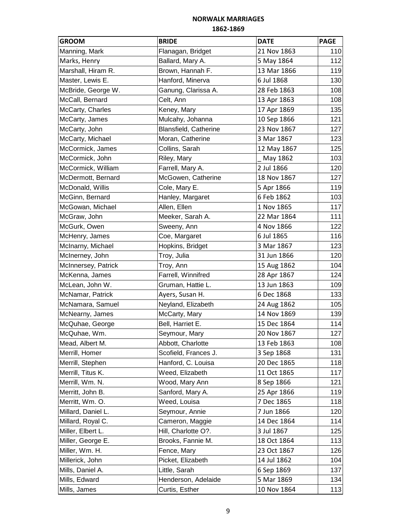| <b>GROOM</b>        | <b>BRIDE</b>          | <b>DATE</b> | <b>PAGE</b> |
|---------------------|-----------------------|-------------|-------------|
| Manning, Mark       | Flanagan, Bridget     | 21 Nov 1863 | 110         |
| Marks, Henry        | Ballard, Mary A.      | 5 May 1864  | 112         |
| Marshall, Hiram R.  | Brown, Hannah F.      | 13 Mar 1866 | 119         |
| Master, Lewis E.    | Hanford, Minerva      | 6 Jul 1868  | 130         |
| McBride, George W.  | Ganung, Clarissa A.   | 28 Feb 1863 | 108         |
| McCall, Bernard     | Celt, Ann             | 13 Apr 1863 | 108         |
| McCarty, Charles    | Keney, Mary           | 17 Apr 1869 | 135         |
| McCarty, James      | Mulcahy, Johanna      | 10 Sep 1866 | 121         |
| McCarty, John       | Blansfield, Catherine | 23 Nov 1867 | 127         |
| McCarty, Michael    | Moran, Catherine      | 3 Mar 1867  | 123         |
| McCormick, James    | Collins, Sarah        | 12 May 1867 | 125         |
| McCormick, John     | Riley, Mary           | May 1862    | 103         |
| McCormick, William  | Farrell, Mary A.      | 2 Jul 1866  | 120         |
| McDermott, Bernard  | McGowen, Catherine    | 18 Nov 1867 | 127         |
| McDonald, Willis    | Cole, Mary E.         | 5 Apr 1866  | 119         |
| McGinn, Bernard     | Hanley, Margaret      | 6 Feb 1862  | 103         |
| McGowan, Michael    | Allen, Ellen          | 1 Nov 1865  | 117         |
| McGraw, John        | Meeker, Sarah A.      | 22 Mar 1864 | 111         |
| McGurk, Owen        | Sweeny, Ann           | 4 Nov 1866  | 122         |
| McHenry, James      | Coe, Margaret         | 6 Jul 1865  | 116         |
| McInarny, Michael   | Hopkins, Bridget      | 3 Mar 1867  | 123         |
| McInerney, John     | Troy, Julia           | 31 Jun 1866 | 120         |
| McInnersey, Patrick | Troy, Ann             | 15 Aug 1862 | 104         |
| McKenna, James      | Farrell, Winnifred    | 28 Apr 1867 | 124         |
| McLean, John W.     | Gruman, Hattie L.     | 13 Jun 1863 | 109         |
| McNamar, Patrick    | Ayers, Susan H.       | 6 Dec 1868  | 133         |
| McNamara, Samuel    | Neyland, Elizabeth    | 24 Aug 1862 | 105         |
| McNearny, James     | McCarty, Mary         | 14 Nov 1869 | 139         |
| McQuhae, George     | Bell, Harriet E.      | 15 Dec 1864 | 114         |
| McQuhae, Wm.        | Seymour, Mary         | 20 Nov 1867 | 127         |
| Mead, Albert M.     | Abbott, Charlotte     | 13 Feb 1863 | 108         |
| Merrill, Homer      | Scofield, Frances J.  | 3 Sep 1868  | 131         |
| Merrill, Stephen    | Hanford, C. Louisa    | 20 Dec 1865 | 118         |
| Merrill, Titus K.   | Weed, Elizabeth       | 11 Oct 1865 | 117         |
| Merrill, Wm. N.     | Wood, Mary Ann        | 8 Sep 1866  | 121         |
| Merritt, John B.    | Sanford, Mary A.      | 25 Apr 1866 | 119         |
| Merritt, Wm. O.     | Weed, Louisa          | 7 Dec 1865  | 118         |
| Millard, Daniel L.  | Seymour, Annie        | 7 Jun 1866  | 120         |
| Millard, Royal C.   | Cameron, Maggie       | 14 Dec 1864 | 114         |
| Miller, Elbert L.   | Hill, Charlotte O?.   | 3 Jul 1867  | 125         |
| Miller, George E.   | Brooks, Fannie M.     | 18 Oct 1864 | 113         |
| Miller, Wm. H.      | Fence, Mary           | 23 Oct 1867 | 126         |
| Millerick, John     | Picket, Elizabeth     | 14 Jul 1862 | 104         |
| Mills, Daniel A.    | Little, Sarah         | 6 Sep 1869  | 137         |
| Mills, Edward       | Henderson, Adelaide   | 5 Mar 1869  | 134         |
| Mills, James        | Curtis, Esther        | 10 Nov 1864 | 113         |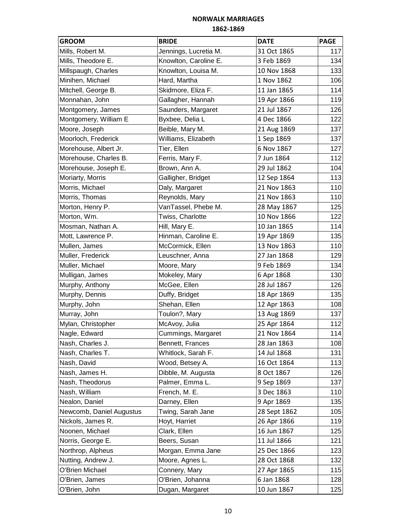| <b>GROOM</b>             | <b>BRIDE</b>          | <b>DATE</b>  | <b>PAGE</b> |
|--------------------------|-----------------------|--------------|-------------|
| Mills, Robert M.         | Jennings, Lucretia M. | 31 Oct 1865  | 117         |
| Mills, Theodore E.       | Knowlton, Caroline E. | 3 Feb 1869   | 134         |
| Millspaugh, Charles      | Knowlton, Louisa M.   | 10 Nov 1868  | 133         |
| Minihen, Michael         | Hard, Martha          | 1 Nov 1862   | 106         |
| Mitchell, George B.      | Skidmore, Eliza F.    | 11 Jan 1865  | 114         |
| Monnahan, John           | Gallagher, Hannah     | 19 Apr 1866  | 119         |
| Montgomery, James        | Saunders, Margaret    | 21 Jul 1867  | 126         |
| Montgomery, William E    | Byxbee, Delia L       | 4 Dec 1866   | 122         |
| Moore, Joseph            | Beible, Mary M.       | 21 Aug 1869  | 137         |
| Moorloch, Frederick      | Williams, Elizabeth   | 1 Sep 1869   | 137         |
| Morehouse, Albert Jr.    | Tier, Ellen           | 6 Nov 1867   | 127         |
| Morehouse, Charles B.    | Ferris, Mary F.       | 7 Jun 1864   | 112         |
| Morehouse, Joseph E.     | Brown, Ann A.         | 29 Jul 1862  | 104         |
| Moriarty, Morris         | Galligher, Bridget    | 12 Sep 1864  | 113         |
| Morris, Michael          | Daly, Margaret        | 21 Nov 1863  | 110         |
| Morris, Thomas           | Reynolds, Mary        | 21 Nov 1863  | 110         |
| Morton, Henry P.         | VanTassel, Phebe M.   | 28 May 1867  | 125         |
| Morton, Wm.              | Twiss, Charlotte      | 10 Nov 1866  | 122         |
| Mosman, Nathan A.        | Hill, Mary E.         | 10 Jan 1865  | 114         |
| Mott, Lawrence P.        | Hinman, Caroline E.   | 19 Apr 1869  | 135         |
| Mullen, James            | McCormick, Ellen      | 13 Nov 1863  | 110         |
| Muller, Frederick        | Leuschner, Anna       | 27 Jan 1868  | 129         |
| Muller, Michael          | Moore, Mary           | 9 Feb 1869   | 134         |
| Mulligan, James          | Mokeley, Mary         | 6 Apr 1868   | 130         |
| Murphy, Anthony          | McGee, Ellen          | 28 Jul 1867  | 126         |
| Murphy, Dennis           | Duffy, Bridget        | 18 Apr 1869  | 135         |
| Murphy, John             | Shehan, Ellen         | 12 Apr 1863  | 108         |
| Murray, John             | Toulon?, Mary         | 13 Aug 1869  | 137         |
| Mylan, Christopher       | McAvoy, Julia         | 25 Apr 1864  | 112         |
| Nagle, Edward            | Cummings, Margaret    | 21 Nov 1864  | 114         |
| Nash, Charles J.         | Bennett, Frances      | 28 Jan 1863  | 108         |
| Nash, Charles T.         | Whitlock, Sarah F.    | 14 Jul 1868  | 131         |
| Nash, David              | Wood, Betsey A.       | 16 Oct 1864  | 113         |
| Nash, James H.           | Dibble, M. Augusta    | 8 Oct 1867   | 126         |
| Nash, Theodorus          | Palmer, Emma L.       | 9 Sep 1869   | 137         |
| Nash, William            | French, M. E.         | 3 Dec 1863   | 110         |
| Nealon, Daniel           | Darney, Ellen         | 9 Apr 1869   | 135         |
| Newcomb, Daniel Augustus | Twing, Sarah Jane     | 28 Sept 1862 | 105         |
| Nickols, James R.        | Hoyt, Harriet         | 26 Apr 1866  | 119         |
| Noonen, Michael          | Clark, Ellen          | 16 Jun 1867  | 125         |
| Norris, George E.        | Beers, Susan          | 11 Jul 1866  | 121         |
| Northrop, Alpheus        | Morgan, Emma Jane     | 25 Dec 1866  | 123         |
| Nutting, Andrew J.       | Moore, Agnes L.       | 28 Oct 1868  | 132         |
| O'Brien Michael          | Connery, Mary         | 27 Apr 1865  | 115         |
| O'Brien, James           | O'Brien, Johanna      | 6 Jan 1868   | 128         |
| O'Brien, John            | Dugan, Margaret       | 10 Jun 1867  | 125         |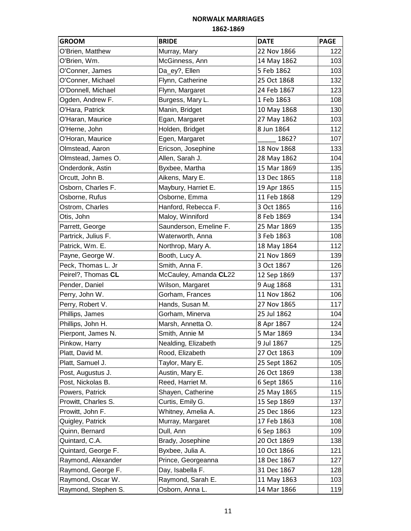| <b>GROOM</b>        | <b>BRIDE</b>           | <b>DATE</b>  | <b>PAGE</b> |
|---------------------|------------------------|--------------|-------------|
| O'Brien, Matthew    | Murray, Mary           | 22 Nov 1866  | 122         |
| O'Brien, Wm.        | McGinness, Ann         | 14 May 1862  | 103         |
| O'Conner, James     | Da_ey?, Ellen          | 5 Feb 1862   | 103         |
| O'Conner, Michael   | Flynn, Catherine       | 25 Oct 1868  | 132         |
| O'Donnell, Michael  | Flynn, Margaret        | 24 Feb 1867  | 123         |
| Ogden, Andrew F.    | Burgess, Mary L.       | 1 Feb 1863   | 108         |
| O'Hara, Patrick     | Manin, Bridget         | 10 May 1868  | 130         |
| O'Haran, Maurice    | Egan, Margaret         | 27 May 1862  | 103         |
| O'Herne, John       | Holden, Bridget        | 8 Jun 1864   | 112         |
| O'Horan, Maurice    | Egen, Margaret         | 1862?        | 107         |
| Olmstead, Aaron     | Ericson, Josephine     | 18 Nov 1868  | 133         |
| Olmstead, James O.  | Allen, Sarah J.        | 28 May 1862  | 104         |
| Onderdonk, Astin    | Byxbee, Martha         | 15 Mar 1869  | 135         |
| Orcutt, John B.     | Aikens, Mary E.        | 13 Dec 1865  | 118         |
| Osborn, Charles F.  | Maybury, Harriet E.    | 19 Apr 1865  | 115         |
| Osborne, Rufus      | Osborne, Emma          | 11 Feb 1868  | 129         |
| Ostrom, Charles     | Hanford, Rebecca F.    | 3 Oct 1865   | 116         |
| Otis, John          | Maloy, Winniford       | 8 Feb 1869   | 134         |
| Parrett, George     | Saunderson, Emeline F. | 25 Mar 1869  | 135         |
| Partrick, Julius F. | Waterworth, Anna       | 3 Feb 1863   | 108         |
| Patrick, Wm. E.     | Northrop, Mary A.      | 18 May 1864  | 112         |
| Payne, George W.    | Booth, Lucy A.         | 21 Nov 1869  | 139         |
| Peck, Thomas L. Jr  | Smith, Anna F.         | 3 Oct 1867   | 126         |
| Peirel?, Thomas CL  | McCauley, Amanda CL22  | 12 Sep 1869  | 137         |
| Pender, Daniel      | Wilson, Margaret       | 9 Aug 1868   | 131         |
| Perry, John W.      | Gorham, Frances        | 11 Nov 1862  | 106         |
| Perry, Robert V.    | Hands, Susan M.        | 27 Nov 1865  | 117         |
| Phillips, James     | Gorham, Minerva        | 25 Jul 1862  | 104         |
| Phillips, John H.   | Marsh, Annetta O.      | 8 Apr 1867   | 124         |
| Pierpont, James N.  | Smith, Annie M         | 5 Mar 1869   | 134         |
| Pinkow, Harry       | Nealding, Elizabeth    | 9 Jul 1867   | 125         |
| Platt, David M.     | Rood, Elizabeth        | 27 Oct 1863  | 109         |
| Platt, Samuel J.    | Taylor, Mary E.        | 25 Sept 1862 | 105         |
| Post, Augustus J.   | Austin, Mary E.        | 26 Oct 1869  | 138         |
| Post, Nickolas B.   | Reed, Harriet M.       | 6 Sept 1865  | 116         |
| Powers, Patrick     | Shayen, Catherine      | 25 May 1865  | 115         |
| Prowitt, Charles S. | Curtis, Emily G.       | 15 Sep 1869  | 137         |
| Prowitt, John F.    | Whitney, Amelia A.     | 25 Dec 1866  | 123         |
| Quigley, Patrick    | Murray, Margaret       | 17 Feb 1863  | 108         |
| Quinn, Bernard      | Dull, Ann              | 6 Sep 1863   | 109         |
| Quintard, C.A.      | Brady, Josephine       | 20 Oct 1869  | 138         |
| Quintard, George F. | Byxbee, Julia A.       | 10 Oct 1866  | 121         |
| Raymond, Alexander  | Prince, Georgeanna     | 18 Dec 1867  | 127         |
| Raymond, George F.  | Day, Isabella F.       | 31 Dec 1867  | 128         |
| Raymond, Oscar W.   | Raymond, Sarah E.      | 11 May 1863  | 103         |
| Raymond, Stephen S. | Osborn, Anna L.        | 14 Mar 1866  | 119         |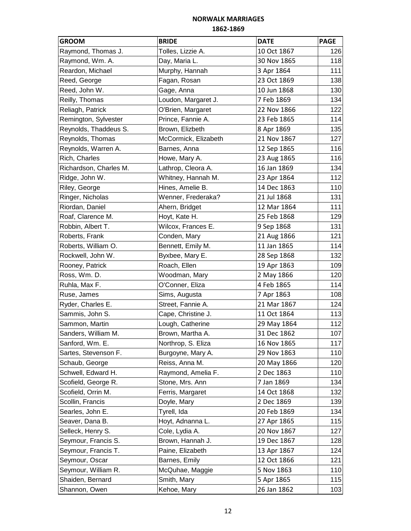| <b>GROOM</b>           | <b>BRIDE</b>         | <b>DATE</b> | <b>PAGE</b> |
|------------------------|----------------------|-------------|-------------|
| Raymond, Thomas J.     | Tolles, Lizzie A.    | 10 Oct 1867 | 126         |
| Raymond, Wm. A.        | Day, Maria L.        | 30 Nov 1865 | 118         |
| Reardon, Michael       | Murphy, Hannah       | 3 Apr 1864  | 111         |
| Reed, George           | Fagan, Rosan         | 23 Oct 1869 | 138         |
| Reed, John W.          | Gage, Anna           | 10 Jun 1868 | 130         |
| Reilly, Thomas         | Loudon, Margaret J.  | 7 Feb 1869  | 134         |
| Reliagh, Patrick       | O'Brien, Margaret    | 22 Nov 1866 | 122         |
| Remington, Sylvester   | Prince, Fannie A.    | 23 Feb 1865 | 114         |
| Reynolds, Thaddeus S.  | Brown, Elizbeth      | 8 Apr 1869  | 135         |
| Reynolds, Thomas       | McCormick, Elizabeth | 21 Nov 1867 | 127         |
| Reynolds, Warren A.    | Barnes, Anna         | 12 Sep 1865 | 116         |
| Rich, Charles          | Howe, Mary A.        | 23 Aug 1865 | 116         |
| Richardson, Charles M. | Lathrop, Cleora A.   | 16 Jan 1869 | 134         |
| Ridge, John W.         | Whitney, Hannah M.   | 23 Apr 1864 | 112         |
| Riley, George          | Hines, Amelie B.     | 14 Dec 1863 | 110         |
| Ringer, Nicholas       | Wenner, Frederaka?   | 21 Jul 1868 | 131         |
| Riordan, Daniel        | Ahern, Bridget       | 12 Mar 1864 | 111         |
| Roaf, Clarence M.      | Hoyt, Kate H.        | 25 Feb 1868 | 129         |
| Robbin, Albert T.      | Wilcox, Frances E.   | 9 Sep 1868  | 131         |
| Roberts, Frank         | Conden, Mary         | 21 Aug 1866 | 121         |
| Roberts, William O.    | Bennett, Emily M.    | 11 Jan 1865 | 114         |
| Rockwell, John W.      | Byxbee, Mary E.      | 28 Sep 1868 | 132         |
| Rooney, Patrick        | Roach, Ellen         | 19 Apr 1863 | 109         |
| Ross, Wm. D.           | Woodman, Mary        | 2 May 1866  | 120         |
| Ruhla, Max F.          | O'Conner, Eliza      | 4 Feb 1865  | 114         |
| Ruse, James            | Sims, Augusta        | 7 Apr 1863  | 108         |
| Ryder, Charles E.      | Street, Fannie A.    | 21 Mar 1867 | 124         |
| Sammis, John S.        | Cape, Christine J.   | 11 Oct 1864 | 113         |
| Sammon, Martin         | Lough, Catherine     | 29 May 1864 | 112         |
| Sanders, William M.    | Brown, Martha A.     | 31 Dec 1862 | 107         |
| Sanford, Wm. E.        | Northrop, S. Eliza   | 16 Nov 1865 | 117         |
| Sartes, Stevenson F.   | Burgoyne, Mary A.    | 29 Nov 1863 | 110         |
| Schaub, George         | Reiss, Anna M.       | 20 May 1866 | 120         |
| Schwell, Edward H.     | Raymond, Amelia F.   | 2 Dec 1863  | 110         |
| Scofield, George R.    | Stone, Mrs. Ann      | 7 Jan 1869  | 134         |
| Scofield, Orrin M.     | Ferris, Margaret     | 14 Oct 1868 | 132         |
| Scollin, Francis       | Doyle, Mary          | 2 Dec 1869  | 139         |
| Searles, John E.       | Tyrell, Ida          | 20 Feb 1869 | 134         |
| Seaver, Dana B.        | Hoyt, Adnanna L.     | 27 Apr 1865 | 115         |
| Selleck, Henry S.      | Cole, Lydia A.       | 20 Nov 1867 | 127         |
| Seymour, Francis S.    | Brown, Hannah J.     | 19 Dec 1867 | 128         |
| Seymour, Francis T.    | Paine, Elizabeth     | 13 Apr 1867 | 124         |
| Seymour, Oscar         | Barnes, Emily        | 12 Oct 1866 | 121         |
| Seymour, William R.    | McQuhae, Maggie      | 5 Nov 1863  | 110         |
| Shaiden, Bernard       | Smith, Mary          | 5 Apr 1865  | 115         |
| Shannon, Owen          | Kehoe, Mary          | 26 Jan 1862 | 103         |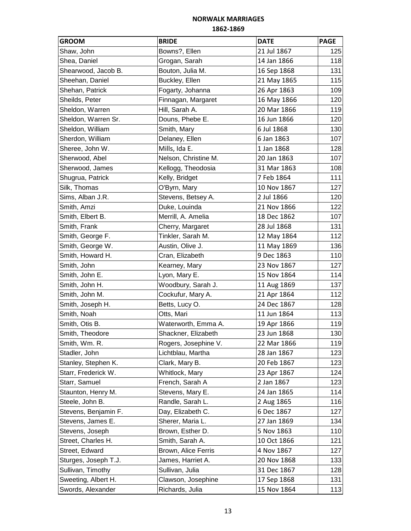| <b>GROOM</b>         | <b>BRIDE</b>         | <b>DATE</b> | <b>PAGE</b> |
|----------------------|----------------------|-------------|-------------|
| Shaw, John           | Bowns?, Ellen        | 21 Jul 1867 | 125         |
| Shea, Daniel         | Grogan, Sarah        | 14 Jan 1866 | 118         |
| Shearwood, Jacob B.  | Bouton, Julia M.     | 16 Sep 1868 | 131         |
| Sheehan, Daniel      | Buckley, Ellen       | 21 May 1865 | 115         |
| Shehan, Patrick      | Fogarty, Johanna     | 26 Apr 1863 | 109         |
| Sheilds, Peter       | Finnagan, Margaret   | 16 May 1866 | 120         |
| Sheldon, Warren      | Hill, Sarah A.       | 20 Mar 1866 | 119         |
| Sheldon, Warren Sr.  | Douns, Phebe E.      | 16 Jun 1866 | 120         |
| Sheldon, William     | Smith, Mary          | 6 Jul 1868  | 130         |
| Sherdon, William     | Delaney, Ellen       | 6 Jan 1863  | 107         |
| Sheree, John W.      | Mills, Ida E.        | 1 Jan 1868  | 128         |
| Sherwood, Abel       | Nelson, Christine M. | 20 Jan 1863 | 107         |
| Sherwood, James      | Kellogg, Theodosia   | 31 Mar 1863 | 108         |
| Shugrua, Patrick     | Kelly, Bridget       | 7 Feb 1864  | 111         |
| Silk, Thomas         | O'Byrn, Mary         | 10 Nov 1867 | 127         |
| Sims, Alban J.R.     | Stevens, Betsey A.   | 2 Jul 1866  | 120         |
| Smith, Amzi          | Duke, Louinda        | 21 Nov 1866 | 122         |
| Smith, Elbert B.     | Merrill, A. Amelia   | 18 Dec 1862 | 107         |
| Smith, Frank         | Cherry, Margaret     | 28 Jul 1868 | 131         |
| Smith, George F.     | Tinkler, Sarah M.    | 12 May 1864 | 112         |
| Smith, George W.     | Austin, Olive J.     | 11 May 1869 | 136         |
| Smith, Howard H.     | Cran, Elizabeth      | 9 Dec 1863  | 110         |
| Smith, John          | Kearney, Mary        | 23 Nov 1867 | 127         |
| Smith, John E.       | Lyon, Mary E.        | 15 Nov 1864 | 114         |
| Smith, John H.       | Woodbury, Sarah J.   | 11 Aug 1869 | 137         |
| Smith, John M.       | Cockufur, Mary A.    | 21 Apr 1864 | 112         |
| Smith, Joseph H.     | Betts, Lucy O.       | 24 Dec 1867 | 128         |
| Smith, Noah          | Otts, Mari           | 11 Jun 1864 | 113         |
| Smith, Otis B.       | Waterworth, Emma A.  | 19 Apr 1866 | 119         |
| Smith, Theodore      | Shackner, Elizabeth  | 23 Jun 1868 | 130         |
| Smith, Wm. R.        | Rogers, Josephine V. | 22 Mar 1866 | 119         |
| Stadler, John        | Lichtblau, Martha    | 28 Jan 1867 | 123         |
| Stanley, Stephen K.  | Clark, Mary B.       | 20 Feb 1867 | 123         |
| Starr, Frederick W.  | Whitlock, Mary       | 23 Apr 1867 | 124         |
| Starr, Samuel        | French, Sarah A      | 2 Jan 1867  | 123         |
| Staunton, Henry M.   | Stevens, Mary E.     | 24 Jan 1865 | 114         |
| Steele, John B.      | Randle, Sarah L.     | 2 Aug 1865  | 116         |
| Stevens, Benjamin F. | Day, Elizabeth C.    | 6 Dec 1867  | 127         |
| Stevens, James E.    | Sherer, Maria L.     | 27 Jan 1869 | 134         |
| Stevens, Joseph      | Brown, Esther D.     | 5 Nov 1863  | 110         |
| Street, Charles H.   | Smith, Sarah A.      | 10 Oct 1866 | 121         |
| Street, Edward       | Brown, Alice Ferris  | 4 Nov 1867  | 127         |
| Sturges, Joseph T.J. | James, Harriet A.    | 20 Nov 1868 | 133         |
| Sullivan, Timothy    | Sullivan, Julia      | 31 Dec 1867 | 128         |
| Sweeting, Albert H.  | Clawson, Josephine   | 17 Sep 1868 | 131         |
| Swords, Alexander    | Richards, Julia      | 15 Nov 1864 | 113         |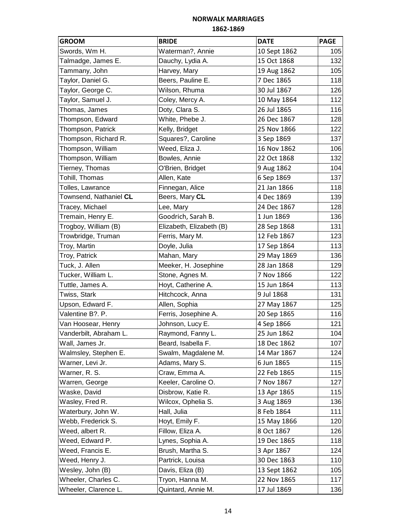| <b>GROOM</b>           | <b>BRIDE</b>             | <b>DATE</b>  | <b>PAGE</b> |
|------------------------|--------------------------|--------------|-------------|
| Swords, Wm H.          | Waterman?, Annie         | 10 Sept 1862 | 105         |
| Talmadge, James E.     | Dauchy, Lydia A.         | 15 Oct 1868  | 132         |
| Tammany, John          | Harvey, Mary             | 19 Aug 1862  | 105         |
| Taylor, Daniel G.      | Beers, Pauline E.        | 7 Dec 1865   | 118         |
| Taylor, George C.      | Wilson, Rhuma            | 30 Jul 1867  | 126         |
| Taylor, Samuel J.      | Coley, Mercy A.          | 10 May 1864  | 112         |
| Thomas, James          | Doty, Clara S.           | 26 Jul 1865  | 116         |
| Thompson, Edward       | White, Phebe J.          | 26 Dec 1867  | 128         |
| Thompson, Patrick      | Kelly, Bridget           | 25 Nov 1866  | 122         |
| Thompson, Richard R.   | Squares?, Caroline       | 3 Sep 1869   | 137         |
| Thompson, William      | Weed, Eliza J.           | 16 Nov 1862  | 106         |
| Thompson, William      | Bowles, Annie            | 22 Oct 1868  | 132         |
| Tierney, Thomas        | O'Brien, Bridget         | 9 Aug 1862   | 104         |
| Tohill, Thomas         | Allen, Kate              | 6 Sep 1869   | 137         |
| Tolles, Lawrance       | Finnegan, Alice          | 21 Jan 1866  | 118         |
| Townsend, Nathaniel CL | Beers, Mary CL           | 4 Dec 1869   | 139         |
| Tracey, Michael        | Lee, Mary                | 24 Dec 1867  | 128         |
| Tremain, Henry E.      | Goodrich, Sarah B.       | 1 Jun 1869   | 136         |
| Trogboy, William (B)   | Elizabeth, Elizabeth (B) | 28 Sep 1868  | 131         |
| Trowbridge, Truman     | Ferris, Mary M.          | 12 Feb 1867  | 123         |
| Troy, Martin           | Doyle, Julia             | 17 Sep 1864  | 113         |
| Troy, Patrick          | Mahan, Mary              | 29 May 1869  | 136         |
| Tuck, J. Allen         | Meeker, H. Josephine     | 28 Jan 1868  | 129         |
| Tucker, William L.     | Stone, Agnes M.          | 7 Nov 1866   | 122         |
| Tuttle, James A.       | Hoyt, Catherine A.       | 15 Jun 1864  | 113         |
| Twiss, Stark           | Hitchcock, Anna          | 9 Jul 1868   | 131         |
| Upson, Edward F.       | Allen, Sophia            | 27 May 1867  | 125         |
| Valentine B?. P.       | Ferris, Josephine A.     | 20 Sep 1865  | 116         |
| Van Hoosear, Henry     | Johnson, Lucy E.         | 4 Sep 1866   | 121         |
| Vanderbilt, Abraham L. | Raymond, Fanny L.        | 25 Jun 1862  | 104         |
| Wall, James Jr.        | Beard, Isabella F.       | 18 Dec 1862  | 107         |
| Walmsley, Stephen E.   | Swalm, Magdalene M.      | 14 Mar 1867  | 124         |
| Warner, Levi Jr.       | Adams, Mary S.           | 6 Jun 1865   | 115         |
| Warner, R. S.          | Craw, Emma A.            | 22 Feb 1865  | 115         |
| Warren, George         | Keeler, Caroline O.      | 7 Nov 1867   | 127         |
| Waske, David           | Disbrow, Katie R.        | 13 Apr 1865  | 115         |
| Wasley, Fred R.        | Wilcox, Ophelia S.       | 3 Aug 1869   | 136         |
| Waterbury, John W.     | Hall, Julia              | 8 Feb 1864   | 111         |
| Webb, Frederick S.     | Hoyt, Emily F.           | 15 May 1866  | 120         |
| Weed, albert R.        | Fillow, Eliza A.         | 8 Oct 1867   | 126         |
| Weed, Edward P.        | Lynes, Sophia A.         | 19 Dec 1865  | 118         |
| Weed, Francis E.       | Brush, Martha S.         | 3 Apr 1867   | 124         |
| Weed, Henry J.         | Partrick, Louisa         | 30 Dec 1863  | 110         |
| Wesley, John (B)       | Davis, Eliza (B)         | 13 Sept 1862 | 105         |
| Wheeler, Charles C.    | Tryon, Hanna M.          | 22 Nov 1865  | 117         |
| Wheeler, Clarence L.   | Quintard, Annie M.       | 17 Jul 1869  | 136         |